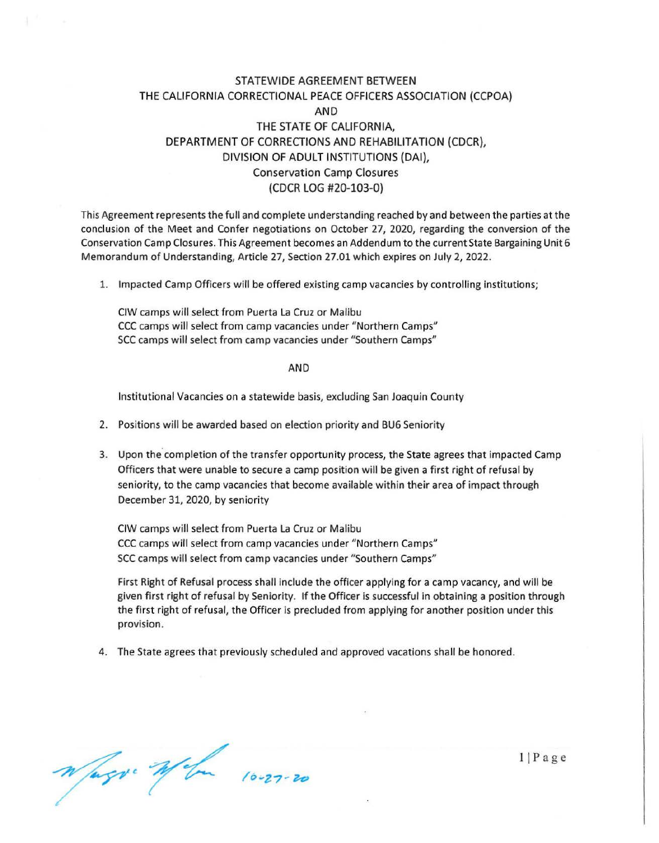## STATEWIDE AGREEMENT BETWEEN THE CALIFORNIA CORRECTIONAL PEACE OFFICERS ASSOCIATION (CCPOA) AND THE STATE OF CALIFORNIA, DEPARTMENT OF CORRECTIONS AND REHABILITATION (CDCR), DIVISION OF ADULT INSTITUTIONS (DAI), Conservation Camp Closures (CDCR LOG #20-103-0)

This Agreement represents the full and complete understanding reached by and between the parties at the conclusion of the Meet and Confer negotiations on October 27, 2020, regarding the conversion of the Conservation Camp Closures. This Agreement becomes an Addendum to the current State Bargaining Unit 6 Memorandum of Understanding, Article 27, Section 27.01 which expires on July 2, 2022.

1. Impacted Camp Officers will be offered existing camp vacancies by controlling institutions;

CIW camps will select from Puerta La Cruz or Malibu CCC camps will select from camp vacancies under "Northern Camps" SCC camps will select from camp vacancies under "Southern Camps"

AND

Institutional Vacancies on a statewide basis, excluding San Joaquin County

- 2. Positions will be awarded based on election priority and BU6 Seniority
- 3. Upon the completion of the transfer opportunity process, the State agrees that impacted Camp Officers that were unable to secure a camp position will be given a first right of refusal by seniority, to the camp vacancies that become available within their area of impact through December 31, 2020, by seniority

CIW camps will select from Puerta La Cruz or Malibu CCC camps will select from camp vacancies under " Northern Camps" SCC camps will select from camp vacancies under "Southern Camps"

First Right of Refusal process shall include the officer applying for a camp vacancy, and will be given first right of refusal by Seniority. If the Officer is successful in obtaining a position through the first right of refusal, the Officer is precluded from applying for another position under this provision.

4. The State agrees that previously scheduled and approved vacations shall be honored.

Wagy Wom 10-27-20

 $1$ | Page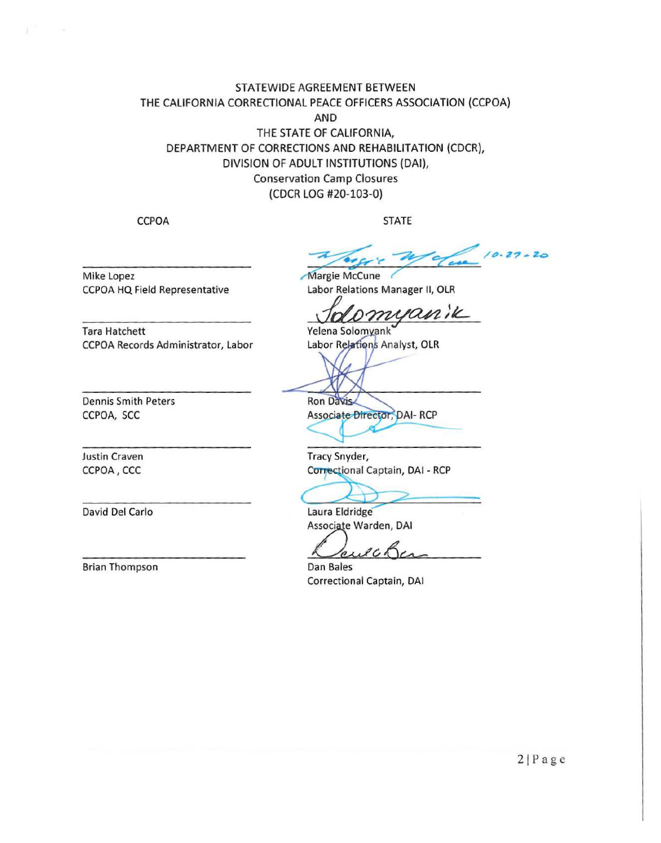## STATEWIDE AGREEMENT BETWEEN THE CALIFORNIA CORRECTIONAL PEACE OFFICERS ASSOCIATION (CCPOA) **AND** THE STATE OF CALIFORNIA, DEPARTMENT OF CORRECTIONS AND REHABILITATION (CDCR), DIVISION OF ADULT INSTITUTIONS (DAI), **Conservation Camp Closures** (CDCR LOG #20-103-0)

**CCPOA** 

**STATE** 

 $10.27 - 20$ 

Mike Lopez CCPOA HQ Field Representative

CCPOA Records Administrator, Labor

Margie McCune Labor Relations Manager II, OLR

omyanik

Yelena Solomyank Labor Relations Analyst, OLR

**Dennis Smith Peters** CCPOA, SCC

**Justin Craven** CCPOA, CCC

**Tara Hatchett** 

David Del Carlo

**Brian Thompson** 

Ron Davis Associate Director, DAI- RCP

Tracy Snyder, Correctional Captain, DAI - RCP

Laura Eldridge

Associate Warden, DAI

 $ACO$  $\mathfrak{p}_{\mathcal{A}}$ 

Dan Bales Correctional Captain, DAI